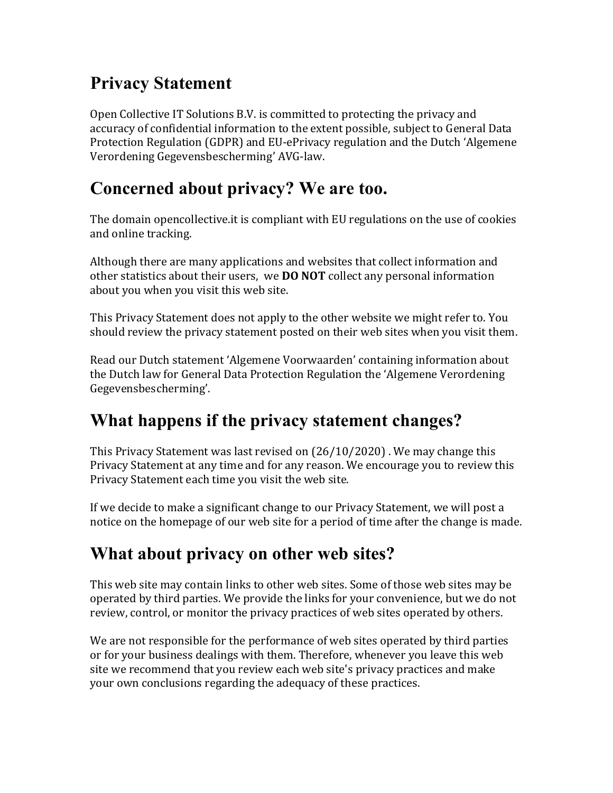# **Privacy Statement**

Open Collective IT Solutions B.V. is committed to protecting the privacy and accuracy of confidential information to the extent possible, subject to General Data Protection Regulation (GDPR) and EU-ePrivacy regulation and the Dutch 'Algemene Verordening Gegevensbescherming' AVG-law.

#### **Concerned about privacy? We are too.**

The domain opencollective.it is compliant with EU regulations on the use of cookies and online tracking.

Although there are many applications and websites that collect information and other statistics about their users, we **DO NOT** collect any personal information about you when you visit this web site.

This Privacy Statement does not apply to the other website we might refer to. You should review the privacy statement posted on their web sites when you visit them.

Read our Dutch statement 'Algemene Voorwaarden' containing information about the Dutch law for General Data Protection Regulation the 'Algemene Verordening Gegevensbescherming'.

## **What happens if the privacy statement changes?**

This Privacy Statement was last revised on (26/10/2020) . We may change this Privacy Statement at any time and for any reason. We encourage you to review this Privacy Statement each time you visit the web site.

If we decide to make a significant change to our Privacy Statement, we will post a notice on the homepage of our web site for a period of time after the change is made.

## **What about privacy on other web sites?**

This web site may contain links to other web sites. Some of those web sites may be operated by third parties. We provide the links for your convenience, but we do not review, control, or monitor the privacy practices of web sites operated by others.

We are not responsible for the performance of web sites operated by third parties or for your business dealings with them. Therefore, whenever you leave this web site we recommend that you review each web site's privacy practices and make your own conclusions regarding the adequacy of these practices.